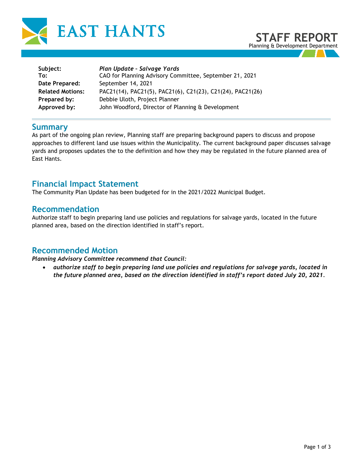



| Plan Update - Salvage Yards<br>CAO for Planning Advisory Committee, September 21, 2021 |
|----------------------------------------------------------------------------------------|
| September 14, 2021                                                                     |
| PAC21(14), PAC21(5), PAC21(6), C21(23), C21(24), PAC21(26)                             |
| Debbie Uloth, Project Planner                                                          |
| John Woodford, Director of Planning & Development                                      |
|                                                                                        |

#### **Summary**

As part of the ongoing plan review, Planning staff are preparing background papers to discuss and propose approaches to different land use issues within the Municipality. The current background paper discusses salvage yards and proposes updates the to the definition and how they may be regulated in the future planned area of East Hants.

### **Financial Impact Statement**

The Community Plan Update has been budgeted for in the 2021/2022 Municipal Budget.

### **Recommendation**

Authorize staff to begin preparing land use policies and regulations for salvage yards, located in the future planned area, based on the direction identified in staff's report.

# **Recommended Motion**

*Planning Advisory Committee recommend that Council:* 

• *authorize staff to begin preparing land use policies and regulations for salvage yards, located in the future planned area, based on the direction identified in staff's report dated July 20, 2021.*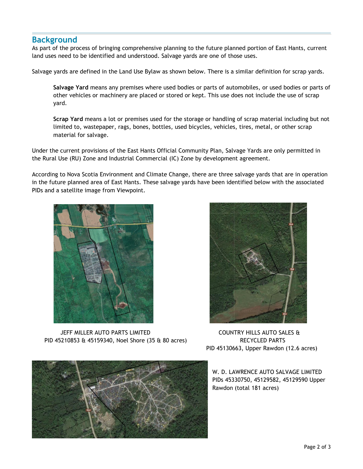# **Background**

As part of the process of bringing comprehensive planning to the future planned portion of East Hants, current land uses need to be identified and understood. Salvage yards are one of those uses.

Salvage yards are defined in the Land Use Bylaw as shown below. There is a similar definition for scrap yards.

**Salvage Yard** means any premises where used bodies or parts of automobiles, or used bodies or parts of other vehicles or machinery are placed or stored or kept. This use does not include the use of scrap yard.

**Scrap Yard** means a lot or premises used for the storage or handling of scrap material including but not limited to, wastepaper, rags, bones, bottles, used bicycles, vehicles, tires, metal, or other scrap material for salvage.

Under the current provisions of the East Hants Official Community Plan, Salvage Yards are only permitted in the Rural Use (RU) Zone and Industrial Commercial (IC) Zone by development agreement.

According to Nova Scotia Environment and Climate Change, there are three salvage yards that are in operation in the future planned area of East Hants. These salvage yards have been identified below with the associated PIDs and a satellite image from Viewpoint.



JEFF MILLER AUTO PARTS LIMITED COUNTRY HILLS AUTO SALES & PID 45210853 & 45159340, Noel Shore (35 & 80 acres) RECYCLED PARTS



PID 45130663, Upper Rawdon (12.6 acres)

W. D. LAWRENCE AUTO SALVAGE LIMITED PIDs 45330750, 45129582, 45129590 Upper Rawdon (total 181 acres)